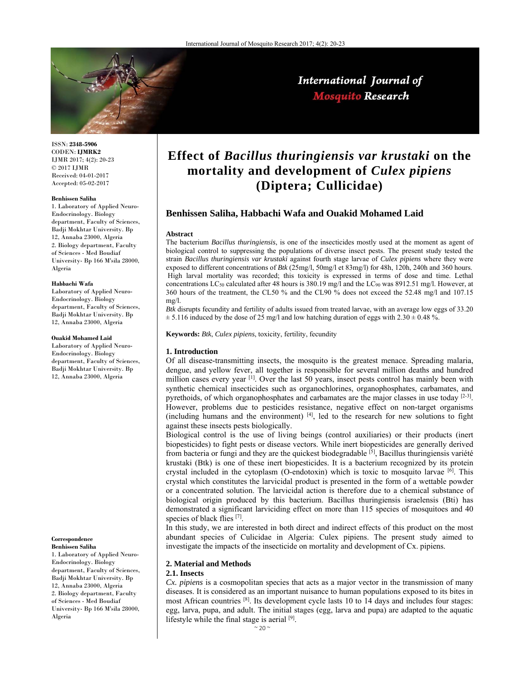

International Journal of **Mosquito Research** 

ISSN: **2348-5906** CODEN: **IJMRK2** IJMR 2017; 4(2): 20-23 © 2017 IJMR Received: 04-01-2017 Accepted: 05-02-2017

#### **Benhissen Saliha**

1. Laboratory of Applied Neuro-Endocrinology. Biology department, Faculty of Sciences, Badji Mokhtar University. Bp 12, Annaba 23000, Algeria 2. Biology department, Faculty of Sciences - Med Boudiaf University- Bp 166 M'sila 28000, Algeria

#### **Habbachi Wafa**

Laboratory of Applied Neuro-Endocrinology. Biology department, Faculty of Sciences, Badji Mokhtar University. Bp 12, Annaba 23000, Algeria

#### **Ouakid Mohamed Laid**

Laboratory of Applied Neuro-Endocrinology. Biology department, Faculty of Sciences, Badji Mokhtar University. Bp 12, Annaba 23000, Algeria

#### **Correspondence Benhissen Saliha**

1. Laboratory of Applied Neuro-Endocrinology. Biology department, Faculty of Sciences, Badji Mokhtar University. Bp 12, Annaba 23000, Algeria 2. Biology department, Faculty of Sciences - Med Boudiaf University- Bp 166 M'sila 28000, Algeria

# **Effect of** *Bacillus thuringiensis var krustaki* **on the mortality and development of** *Culex pipiens* **(Diptera; Cullicidae)**

# **Benhissen Saliha, Habbachi Wafa and Ouakid Mohamed Laid**

#### **Abstract**

The bacterium *Bacillus thuringiensis*, is one of the insecticides mostly used at the moment as agent of biological control to suppressing the populations of diverse insect pests. The present study tested the strain *Bacillus thuringiensis var krustaki* against fourth stage larvae of *Culex pipiens* where they were exposed to different concentrations of *Btk* (25mg/l, 50mg/l et 83mg/l) for 48h, 120h, 240h and 360 hours. High larval mortality was recorded; this toxicity is expressed in terms of dose and time. Lethal concentrations LC50 calculated after 48 hours is 380.19 mg/l and the LC90 was 8912.51 mg/l. However, at 360 hours of the treatment, the CL50 % and the CL90 % does not exceed the 52.48 mg/l and 107.15 mg/l.

*Btk* disrupts fecundity and fertility of adults issued from treated larvae, with an average low eggs of 33.20  $\pm$  5.116 induced by the dose of 25 mg/l and low hatching duration of eggs with 2.30  $\pm$  0.48 %.

**Keywords:** *Btk*, *Culex pipiens*, toxicity, fertility, fecundity

## **1. Introduction**

Of all disease-transmitting insects, the mosquito is the greatest menace. Spreading malaria, dengue, and yellow fever, all together is responsible for several million deaths and hundred million cases every year <sup>[1]</sup>. Over the last 50 years, insect pests control has mainly been with synthetic chemical insecticides such as organochlorines, organophosphates, carbamates, and pyrethoids, of which organophosphates and carbamates are the major classes in use today  $[2-3]$ . However, problems due to pesticides resistance, negative effect on non-target organisms (including humans and the environment) [4], led to the research for new solutions to fight against these insects pests biologically.

Biological control is the use of living beings (control auxiliaries) or their products (inert biopesticides) to fight pests or disease vectors. While inert biopesticides are generally derived from bacteria or fungi and they are the quickest biodegradable <sup>[5]</sup>, Bacillus thuringiensis variété krustaki (Btk) is one of these inert biopesticides. It is a bacterium recognized by its protein crystal included in the cytoplasm (O-endotoxin) which is toxic to mosquito larvae  $[6]$ . This crystal which constitutes the larvicidal product is presented in the form of a wettable powder or a concentrated solution. The larvicidal action is therefore due to a chemical substance of biological origin produced by this bacterium. Bacillus thuringiensis israelensis (Bti) has demonstrated a significant larviciding effect on more than 115 species of mosquitoes and 40 species of black flies [7].

In this study, we are interested in both direct and indirect effects of this product on the most abundant species of Culicidae in Algeria: Culex pipiens. The present study aimed to investigate the impacts of the insecticide on mortality and development of Cx. pipiens.

## **2. Material and Methods**

#### **2.1. Insects**

*Cx. pipiens* is a cosmopolitan species that acts as a major vector in the transmission of many diseases. It is considered as an important nuisance to human populations exposed to its bites in most African countries <sup>[8]</sup>. Its development cycle lasts 10 to 14 days and includes four stages: egg, larva, pupa, and adult. The initial stages (egg, larva and pupa) are adapted to the aquatic lifestyle while the final stage is aerial [9].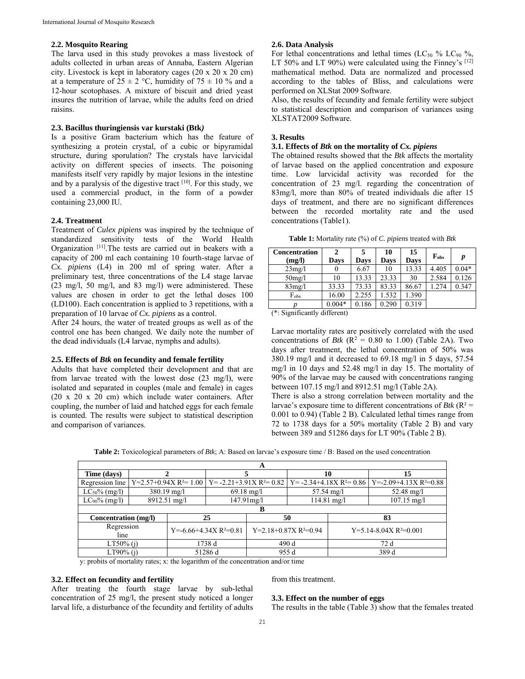#### **2.2. Mosquito Rearing**

The larva used in this study provokes a mass livestock of adults collected in urban areas of Annaba, Eastern Algerian city. Livestock is kept in laboratory cages (20 x 20 x 20 cm) at a temperature of  $25 \pm 2$  °C, humidity of  $75 \pm 10$  % and a 12-hour scotophases. A mixture of biscuit and dried yeast insures the nutrition of larvae, while the adults feed on dried raisins.

# **2.3. Bacillus thuringiensis var kurstaki (Btk***)*

Is a positive Gram bacterium which has the feature of synthesizing a protein crystal, of a cubic or bipyramidal structure, during sporulation? The crystals have larvicidal activity on different species of insects. The poisoning manifests itself very rapidly by major lesions in the intestine and by a paralysis of the digestive tract [10]. For this study, we used a commercial product, in the form of a powder containing 23,000 IU.

## **2.4. Treatment**

Treatment of *Culex pipiens* was inspired by the technique of standardized sensitivity tests of the World Health Organization [11]. The tests are carried out in beakers with a capacity of 200 ml each containing 10 fourth-stage larvae of *Cx. pipiens* (L4) in 200 ml of spring water. After a preliminary test, three concentrations of the L4 stage larvae (23 mg/l, 50 mg/l, and 83 mg/l) were administered. These values are chosen in order to get the lethal doses 100 (LD100). Each concentration is applied to 3 repetitions, with a preparation of 10 larvae of *Cx. pipiens* as a control.

After 24 hours, the water of treated groups as well as of the control one has been changed. We daily note the number of the dead individuals (L4 larvae, nymphs and adults).

## **2.5. Effects of** *Btk* **on fecundity and female fertility**

Adults that have completed their development and that are from larvae treated with the lowest dose (23 mg/l), were isolated and separated in couples (male and female) in cages (20 x 20 x 20 cm) which include water containers. After coupling, the number of laid and hatched eggs for each female is counted. The results were subject to statistical description and comparison of variances.

#### **2.6. Data Analysis**

For lethal concentrations and lethal times (LC<sub>50</sub> % LC<sub>90</sub> %, LT 50% and LT 90%) were calculated using the Finney's  $[12]$ mathematical method. Data are normalized and processed according to the tables of Bliss, and calculations were performed on XLStat 2009 Software.

Also, the results of fecundity and female fertility were subject to statistical description and comparison of variances using XLSTAT2009 Software.

#### **3. Results**

## **3.1. Effects of** *Btk* **on the mortality of** *Cx. pipiens*

The obtained results showed that the *Btk* affects the mortality of larvae based on the applied concentration and exposure time. Low larvicidal activity was recorded for the concentration of 23 mg/l. regarding the concentration of 83mg/l, more than 80% of treated individuals die after 15 days of treatment, and there are no significant differences between the recorded mortality rate and the used concentrations (Table1).

**Table 1:** Mortality rate (%) of *C. pipiens* treated with *Btk*

| <b>Concentration</b> | 2        |       | 10    | 15          | $F_{obs}$ | p       |
|----------------------|----------|-------|-------|-------------|-----------|---------|
| (mg/l)               | Days     | Days  | Days  | <b>Days</b> |           |         |
| 23mg/l               |          | 6.67  | 10    | 13.33       | 4.405     | $0.04*$ |
| 50mg/l               | 10       | 13.33 | 23.33 | 30          | 2.584     | 0.126   |
| 83mg/1               | 33.33    | 73.33 | 83.33 | 86.67       | 1.274     | 0.347   |
| $F_{obs}$            | 16.00    | 2.255 | 1.532 | 1.390       |           |         |
|                      | $0.004*$ | 0.186 | 0.290 | 0.319       |           |         |

(\*: Significantly different)

Larvae mortality rates are positively correlated with the used concentrations of *Btk* ( $\mathbb{R}^2 = 0.80$  to 1.00) (Table 2A). Two days after treatment, the lethal concentration of 50% was 380.19 mg/l and it decreased to 69.18 mg/l in 5 days, 57.54 mg/l in 10 days and 52.48 mg/l in day 15. The mortality of 90% of the larvae may be caused with concentrations ranging between 107.15 mg/l and 8912.51 mg/l (Table 2A). There is also a strong correlation between mortality and the larvae's exposure time to different concentrations of  $Btk$  ( $R^2$  = 0.001 to 0.94) (Table 2 B). Calculated lethal times range from 72 to 1738 days for a 50% mortality (Table 2 B) and vary between 389 and 51286 days for LT 90% (Table 2 B).

|  | <b>Table 2:</b> Toxicological parameters of <i>Btk</i> ; A: Based on larvae's exposure time / B: Based on the used concentration |
|--|----------------------------------------------------------------------------------------------------------------------------------|
|  |                                                                                                                                  |

| A                    |                           |                                |                                |                         |                                |                          |                                |  |
|----------------------|---------------------------|--------------------------------|--------------------------------|-------------------------|--------------------------------|--------------------------|--------------------------------|--|
| Time (days)          |                           |                                |                                |                         | 10                             |                          | 15                             |  |
| Regression line      | $Y=2.57+0.94X R^{2}=1.00$ |                                | $Y = -2.21 + 3.91X R^2 = 0.82$ |                         | $Y = -2.34 + 4.18X R^2 = 0.86$ |                          | $Y = -2.09 + 4.13X R^2 = 0.88$ |  |
| $LC_{50}\%$ (mg/l)   | $380.19$ mg/l             |                                | $69.18$ mg/l                   |                         | $57.54 \text{ mg}/1$           |                          | 52.48 mg/l                     |  |
| $LC_{90}\%$ (mg/l)   | 8912.51 mg/l              |                                | 147.91mg/l                     |                         | $114.81 \text{ mg}/1$          |                          | $107.15 \text{ mg}/1$          |  |
| В                    |                           |                                |                                |                         |                                |                          |                                |  |
| Concentration (mg/l) |                           | 25                             |                                | 50                      |                                | 83                       |                                |  |
| Regression<br>line   |                           | $Y = -6.66 + 4.34X R^2 = 0.81$ |                                | $Y=2.18+0.87X R^2=0.94$ |                                | $Y=5.14-8.04X R^2=0.001$ |                                |  |
| $LT50\%$ (i)         |                           | 1738 d                         |                                | 490d                    |                                | 72 d                     |                                |  |
| $LT90\%$ (i)         |                           | 51286 d                        |                                | 955 d                   |                                | 389 d                    |                                |  |

y: probits of mortality rates; x: the logarithm of the concentration and/or time

## **3.2. Effect on fecundity and fertility**

After treating the fourth stage larvae by sub-lethal concentration of 25 mg/l, the present study noticed a longer larval life, a disturbance of the fecundity and fertility of adults

# from this treatment.

## **3.3. Effect on the number of eggs**

The results in the table (Table 3) show that the females treated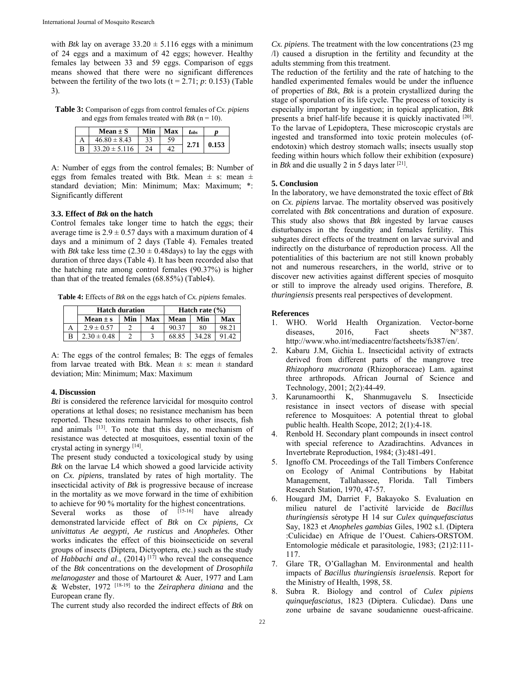with *Btk* lay on average  $33.20 \pm 5.116$  eggs with a minimum of 24 eggs and a maximum of 42 eggs; however. Healthy females lay between 33 and 59 eggs. Comparison of eggs means showed that there were no significant differences between the fertility of the two lots  $(t = 2.71; p: 0.153)$  (Table 3).

**Table 3:** Comparison of eggs from control females of *Cx. pipiens* and eggs from females treated with *Btk*  $(n = 10)$ .

|   | Mean $\pm$ S      | Min | Max | lobs |       |
|---|-------------------|-----|-----|------|-------|
|   | $46.80 \pm 8.43$  |     | 59  |      | 0.153 |
| R | $33.20 \pm 5.116$ |     |     | 2.71 |       |

A: Number of eggs from the control females; B: Number of eggs from females treated with Btk. Mean  $\pm$  s: mean  $\pm$ standard deviation; Min: Minimum; Max: Maximum; \*: Significantly different

## **3.3. Effect of** *Btk* **on the hatch**

Control females take longer time to hatch the eggs; their average time is  $2.9 \pm 0.57$  days with a maximum duration of 4 days and a minimum of 2 days (Table 4). Females treated with *Btk* take less time  $(2.30 \pm 0.48$ days) to lay the eggs with duration of three days (Table 4). It has been recorded also that the hatching rate among control females (90.37%) is higher than that of the treated females (68.85%) (Table4).

**Table 4:** Effects of *Btk* on the eggs hatch of *Cx. pipiens* females.

| <b>Hatch duration</b> | Hatch rate $(\% )$ |     |       |        |       |
|-----------------------|--------------------|-----|-------|--------|-------|
| Mean $\pm$ s          | Min                | Max | Mean  | Min    | Max   |
| $2.9 \pm 0.57$        |                    |     | 90.37 | 80     | 98.21 |
| $2.30 \pm 0.48$       |                    |     | 68.85 | 34 Z.R |       |

A: The eggs of the control females; B: The eggs of females from larvae treated with Btk. Mean  $\pm$  s: mean  $\pm$  standard deviation; Min: Minimum; Max: Maximum

## **4. Discussion**

*Bti* is considered the reference larvicidal for mosquito control operations at lethal doses; no resistance mechanism has been reported. These toxins remain harmless to other insects, fish and animals [13]. To note that this day, no mechanism of resistance was detected at mosquitoes, essential toxin of the crystal acting in synergy [14].

The present study conducted a toxicological study by using *Btk* on the larvae L4 which showed a good larvicide activity on *Cx. pipiens*, translated by rates of high mortality. The insecticidal activity of *Btk* is progressive because of increase in the mortality as we move forward in the time of exhibition to achieve for 90 % mortality for the highest concentrations.<br>Several works as those of  $^{[15-16]}$  have alreaded

Several works as those of  $[15-16]$  have already demonstrated larvicide effect of *Btk* on *Cx pipiens, Cx univittatus Ae aegypti, Ae rusticus* and *Anopheles.* Other works indicates the effect of this bioinsecticide on several groups of insects (Diptera, Dictyoptera, etc.) such as the study of *Habbachi and al.*, (2014)<sup>[17]</sup> who reveal the consequence of the *Btk* concentrations on the development of *Drosophila melanogaster* and those of Martouret & Auer, 1977 and Lam & Webster, 1972 [18-19] to the *Zeiraphera diniana* and the European crane fly.

The current study also recorded the indirect effects of *Btk* on

*Cx. pipiens*. The treatment with the low concentrations (23 mg /l) caused a disruption in the fertility and fecundity at the adults stemming from this treatment.

The reduction of the fertility and the rate of hatching to the handled experimented females would be under the influence of properties of *Btk*, *Btk* is a protein crystallized during the stage of sporulation of its life cycle. The process of toxicity is especially important by ingestion; in topical application, *Btk*  presents a brief half-life because it is quickly inactivated [20]. To the larvae of Lepidoptera, These microscopic crystals are ingested and transformed into toxic protein molecules (ofendotoxin) which destroy stomach walls; insects usually stop feeding within hours which follow their exhibition (exposure) in *Btk* and die usually 2 in 5 days later [21].

#### **5. Conclusion**

In the laboratory, we have demonstrated the toxic effect of *Btk*  on *Cx. pipiens* larvae. The mortality observed was positively correlated with *Btk* concentrations and duration of exposure. This study also shows that *Btk* ingested by larvae causes disturbances in the fecundity and females fertility. This subgates direct effects of the treatment on larvae survival and indirectly on the disturbance of reproduction process. All the potentialities of this bacterium are not still known probably not and numerous researchers, in the world, strive or to discover new activities against different species of mosquito or still to improve the already used origins. Therefore, *B. thuringiensis* presents real perspectives of development.

#### **References**

- 1. WHO. World Health Organization. Vector-borne<br>diseases. 2016. Fact sheets N°387. diseases. 2016. Fact sheets http://www.who.int/mediacentre/factsheets/fs387/en/.
- 2. Kabaru J.M, Gichia L. Insecticidal activity of extracts derived from different parts of the mangrove tree *Rhizophora mucronata* (Rhizophoraceae) Lam. against three arthropods. African Journal of Science and Technology, 2001; 2(2):44-49.
- 3. Karunamoorthi K, Shanmugavelu S. Insecticide resistance in insect vectors of disease with special reference to Mosquitoes: A potential threat to global public health. Health Scope, 2012; 2(1):4-18.
- 4. Renbold H. Secondary plant compounds in insect control with special reference to Azadirachtins. Advances in Invertebrate Reproduction, 1984; (3):481-491.
- 5. Ignoffo CM. Proceedings of the Tall Timbers Conference on Ecology of Animal Contributions by Habitat Management, Tallahassee, Florida. Tall Timbers Research Station, 1970, 47-57.
- 6. Hougard JM, Darriet F, Bakayoko S. Evaluation en milieu naturel de l'activité larvicide de *Bacillus thuringiensis* sérotype H 14 sur *Culex quinquefasciatus* Say, 1823 et *Anopheles gambias* Giles, 1902 s.l. (Diptera :Culicidae) en Afrique de l'Ouest. Cahiers-ORSTOM. Entomologie médicale et parasitologie, 1983; (21)2:111- 117.
- 7. Glare TR, O'Gallaghan M. Environmental and health impacts of *Bacillus thuringiensis israelensis*. Report for the Ministry of Health, 1998, 58.
- 8. Subra R. Biology and control of *Culex pipiens quinquefasciatus*, 1823 (Diptera. Culicdae). Dans une zone urbaine de savane soudanienne ouest-africaine.